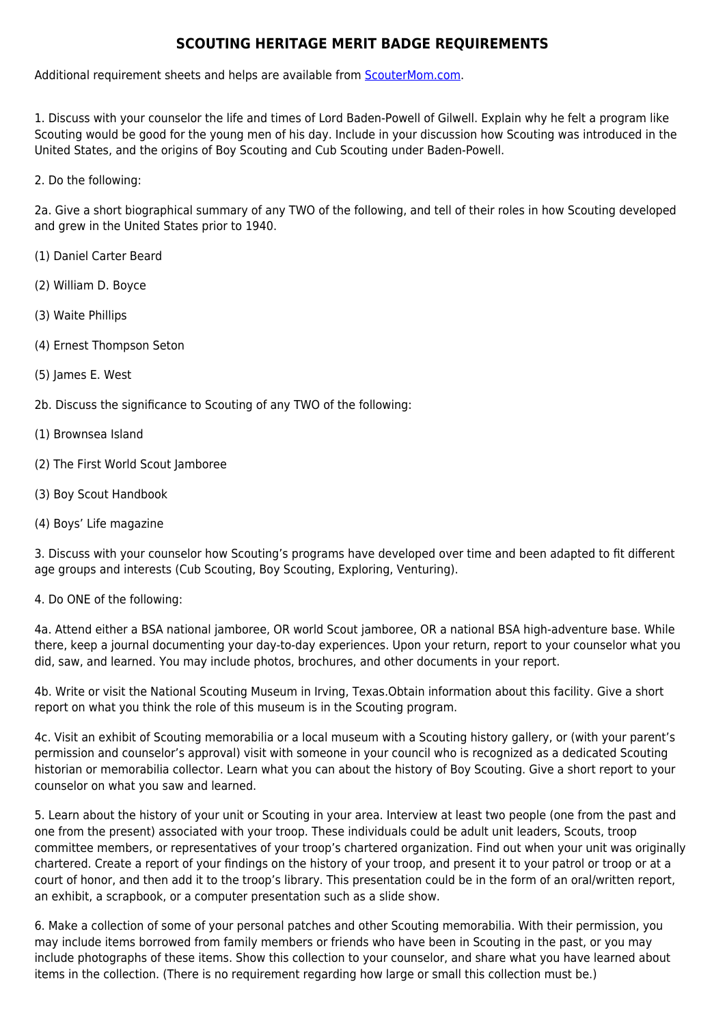## **SCOUTING HERITAGE MERIT BADGE REQUIREMENTS**

Additional requirement sheets and helps are available from [ScouterMom.com](http://scoutermom.com).

1. Discuss with your counselor the life and times of Lord Baden-Powell of Gilwell. Explain why he felt a program like Scouting would be good for the young men of his day. Include in your discussion how Scouting was introduced in the United States, and the origins of Boy Scouting and Cub Scouting under Baden-Powell.

2. Do the following:

2a. Give a short biographical summary of any TWO of the following, and tell of their roles in how Scouting developed and grew in the United States prior to 1940.

- (1) Daniel Carter Beard
- (2) William D. Boyce
- (3) Waite Phillips
- (4) Ernest Thompson Seton
- (5) James E. West
- 2b. Discuss the significance to Scouting of any TWO of the following:
- (1) Brownsea Island
- (2) The First World Scout Jamboree
- (3) Boy Scout Handbook
- (4) Boys' Life magazine

3. Discuss with your counselor how Scouting's programs have developed over time and been adapted to fit different age groups and interests (Cub Scouting, Boy Scouting, Exploring, Venturing).

## 4. Do ONE of the following:

4a. Attend either a BSA national jamboree, OR world Scout jamboree, OR a national BSA high-adventure base. While there, keep a journal documenting your day-to-day experiences. Upon your return, report to your counselor what you did, saw, and learned. You may include photos, brochures, and other documents in your report.

4b. Write or visit the National Scouting Museum in Irving, Texas.Obtain information about this facility. Give a short report on what you think the role of this museum is in the Scouting program.

4c. Visit an exhibit of Scouting memorabilia or a local museum with a Scouting history gallery, or (with your parent's permission and counselor's approval) visit with someone in your council who is recognized as a dedicated Scouting historian or memorabilia collector. Learn what you can about the history of Boy Scouting. Give a short report to your counselor on what you saw and learned.

5. Learn about the history of your unit or Scouting in your area. Interview at least two people (one from the past and one from the present) associated with your troop. These individuals could be adult unit leaders, Scouts, troop committee members, or representatives of your troop's chartered organization. Find out when your unit was originally chartered. Create a report of your findings on the history of your troop, and present it to your patrol or troop or at a court of honor, and then add it to the troop's library. This presentation could be in the form of an oral/written report, an exhibit, a scrapbook, or a computer presentation such as a slide show.

6. Make a collection of some of your personal patches and other Scouting memorabilia. With their permission, you may include items borrowed from family members or friends who have been in Scouting in the past, or you may include photographs of these items. Show this collection to your counselor, and share what you have learned about items in the collection. (There is no requirement regarding how large or small this collection must be.)